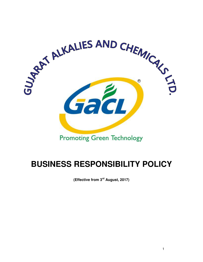

# **BUSINESS RESPONSIBILITY POLICY**

**(Effective from 3rd August, 2017)**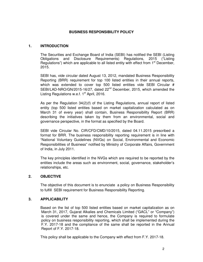### **BUSINESS RESPONSIBILITY POLICY**

#### **1. INTRODUCTION**

The Securities and Exchange Board of India (SEBI) has notified the SEBI (Listing Obligations and Disclosure Requirements) Regulations, 2015 ("Listing Regulations") which are applicable to all listed entity with effect from  $1<sup>st</sup>$  December, 2015.

SEBI has, vide circular dated August 13, 2012, mandated Business Responsibility Reporting (BRR) requirement for top 100 listed entities in their annual reports, which was extended to cover top 500 listed entities vide SEBI Circular # SEBI/LAD-NRO/GN/2015-16/27, dated 22<sup>nd</sup> December, 2015, which amended the Listing Regulations w.e.f.  $1<sup>st</sup>$  April, 2016.

As per the Regulation 34(2)(f) of the Listing Regulations, annual report of listed entity (top 500 listed entities based on market capitalization calculated as on March 31 of every year) shall contain, Business Responsibility Report (BRR) describing the initiatives taken by them from an environmental, social and governance perspective, in the format as specified by the Board.

SEBI vide Circular No. CIR/CFD/CMD/10/2015, dated 04.11.2015 prescribed a format for BRR. The business responsibility reporting requirement is in line with "National Voluntary Guidelines (NVGs) on Social, Environmental and Economic Responsibilities of Business" notified by Ministry of Corporate Affairs, Government of India, in July 2011.

The key principles identified in the NVGs which are required to be reported by the entities include the areas such as environment, social, governance, stakeholder's relationships, etc.

#### **2. OBJECTIVE**

The objective of this document is to enunciate a policy on Business Responsibility to fulfill SEBI requirement for Business Responsibility Reporting.

#### **3. APPLICABILITY**

Based on the list of top 500 listed entities based on market capitalization as on March 31, 2017, Gujarat Alkalies and Chemicals Limited ("GACL" or "Company") is covered under the same and hence, the Company is required to formulate policy on business responsibility reporting, which shall be implemented during the F.Y. 2017-18 and the compliance of the same shall be reported in the Annual Report of F.Y. 2017-18.

This policy shall be applicable to the Company with effect from F.Y. 2017-18.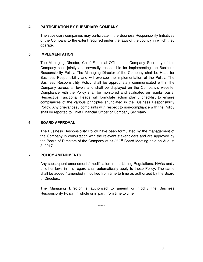### **4. PARTICIPATION BY SUBSIDIARY COMPANY**

The subsidiary companies may participate in the Business Responsibility Initiatives of the Company to the extent required under the laws of the country in which they operate.

#### **5. IMPLEMENTATION**

The Managing Director, Chief Financial Officer and Company Secretary of the Company shall jointly and severally responsible for implementing the Business Responsibility Policy. The Managing Director of the Company shall be Head for Business Responsibility and will oversee the implementation of the Policy. The Business Responsibility Policy shall be appropriately communicated within the Company across all levels and shall be displayed on the Company's website. Compliance with the Policy shall be monitored and evaluated on regular basis. Respective Functional Heads will formulate action plan / checklist to ensure compliances of the various principles enunciated in the Business Responsibility Policy. Any grievances / complaints with respect to non-compliance with the Policy shall be reported to Chief Financial Officer or Company Secretary.

#### **6. BOARD APPROVAL**

The Business Responsibility Policy have been formulated by the management of the Company in consultation with the relevant stakeholders and are approved by the Board of Directors of the Company at its 362<sup>nd</sup> Board Meeting held on August 3, 2017.

## **7. POLICY AMENDMENTS**

Any subsequent amendment / modification in the Listing Regulations, NVGs and / or other laws in this regard shall automatically apply to these Policy. The same shall be added / amended / modified from time to time as authorized by the Board of Directors.

The Managing Director is authorized to amend or modify the Business Responsibility Policy, in whole or in part, from time to time.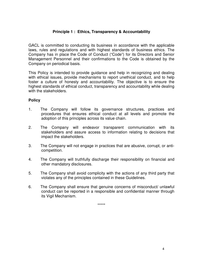# **Principle 1 : Ethics, Transparency & Accountability**

GACL is committed to conducting its business in accordance with the applicable laws, rules and regulations and with highest standards of business ethics. The Company has in place the Code of Conduct ("Code") for its Directors and Senior Management Personnel and their confirmations to the Code is obtained by the Company on periodical basis.

This Policy is intended to provide guidance and help in recognizing and dealing with ethical issues, provide mechanisms to report unethical conduct, and to help foster a culture of honesty and accountability. The objective is to ensure the highest standards of ethical conduct, transparency and accountability while dealing with the stakeholders.

## **Policy**

- 1. The Company will follow its governance structures, practices and procedures that ensures ethical conduct at all levels and promote the adoption of this principles across its value chain.
- 2. The Company will endeavor transparent communication with its stakeholders and assure access to information relating to decisions that impact the stakeholders.
- 3. The Company will not engage in practices that are abusive, corrupt, or anticompetition.
- 4. The Company will truthfully discharge their responsibility on financial and other mandatory disclosures.
- 5. The Company shall avoid complicity with the actions of any third party that violates any of the principles contained in these Guidelines.
- 6. The Company shall ensure that genuine concerns of misconduct/ unlawful conduct can be reported in a responsible and confidential manner through its Vigil Mechanism.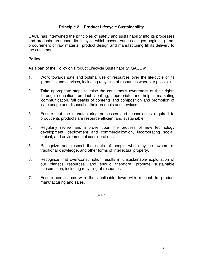## **Principle 2 : Product Lifecycle Sustainability**

GACL has intertwined the principles of safety and sustainability into its processes and products throughout its lifecycle which covers various stages beginning from procurement of raw material, product design and manufacturing till its delivery to the customers.

### **Policy**

As a part of the Policy on Product Lifecycle Sustainability, GACL will:

- 1. Work towards safe and optimal use of resources over the life-cycle of its products and services, including recycling of resources wherever possible.
- 2. Take appropriate steps to raise the consumer's awareness of their rights through education, product labelling, appropriate and helpful marketing communication, full details of contents and composition and promotion of safe usage and disposal of their products and services.
- 3. Ensure that the manufacturing processes and technologies required to produce its products are resource efficient and sustainable.
- 4. Regularly review and improve upon the process of new technology development, deployment and commercialization, incorporating social, ethical, and environmental considerations.
- 5. Recognize and respect the rights of people who may be owners of traditional knowledge, and other forms of intellectual property.
- 6. Recognize that over-consumption results in unsustainable exploitation of our planet's resources, and should therefore, promote sustainable consumption, including recycling of resources.
- 7. Ensure compliance with the applicable laws with respect to product manufacturing and sales.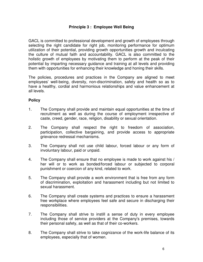# **Principle 3 : Employee Well Being**

GACL is committed to professional development and growth of employees through selecting the right candidate for right job, monitoring performance for optimum utilization of their potential, providing growth opportunities growth and inculcating the culture of mutual faith and accountability. GACL is also committed to the holistic growth of employees by motivating them to perform at the peak of their potential by imparting necessary guidance and training at all levels and providing them with opportunities for enhancing their knowledge and honing their skills.

The policies, procedures and practices in the Company are aligned to meet employees' well-being, diversity, non-discrimination, safety and health so as to have a healthy, cordial and harmonious relationships and value enhancement at all levels.

## **Policy**

- 1. The Company shall provide and maintain equal opportunities at the time of recruitment as well as during the course of employment irrespective of caste, creed, gender, race, religion, disability or sexual orientation.
- 2. The Company shall respect the right to freedom of association, participation, collective bargaining, and provide access to appropriate grievance redressal mechanisms.
- 3. The Company shall not use child labour, forced labour or any form of involuntary labour, paid or unpaid.
- 4. The Company shall ensure that no employee is made to work against his / her will or to work as bonded/forced labour or subjected to corporal punishment or coercion of any kind, related to work.
- 5. The Company shall provide a work environment that is free from any form of discrimination, exploitation and harassment including but not limited to sexual harassment.
- 6. The Company shall create systems and practices to ensure a harassment free workplace where employees feel safe and secure in discharging their responsibilities.
- 7. The Company shall strive to instill a sense of duty in every employee including those of service providers at the Company's premises, towards their personal safety, as well as that of their co-workers.
- 8. The Company shall strive to take cognizance of the work-life balance of its employees, especially that of women.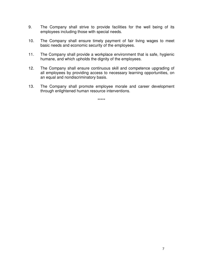- 9. The Company shall strive to provide facilities for the well being of its employees including those with special needs.
- 10. The Company shall ensure timely payment of fair living wages to meet basic needs and economic security of the employees.
- 11. The Company shall provide a workplace environment that is safe, hygienic humane, and which upholds the dignity of the employees.
- 12. The Company shall ensure continuous skill and competence upgrading of all employees by providing access to necessary learning opportunities, on an equal and nondiscriminatory basis.
- 13. The Company shall promote employee morale and career development through enlightened human resource interventions.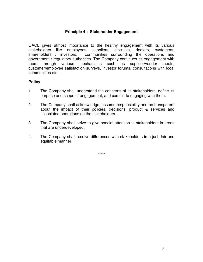## **Principle 4 : Stakeholder Engagement**

GACL gives utmost importance to the healthy engagement with its various stakeholders like employees, suppliers, stockists, dealers, customers, shareholders / investors, communities surrounding the operations and government / regulatory authorities. The Company continues its engagement with them through various mechanisms such as supplier/vendor meets, customer/employee satisfaction surveys, investor forums, consultations with local communities etc.

## **Policy**

- 1. The Company shall understand the concerns of its stakeholders, define its purpose and scope of engagement, and commit to engaging with them.
- 2. The Company shall acknowledge, assume responsibility and be transparent about the impact of their policies, decisions, product & services and associated operations on the stakeholders.
- 3. The Company shall strive to give special attention to stakeholders in areas that are underdeveloped.
- 4. The Company shall resolve differences with stakeholders in a just, fair and equitable manner.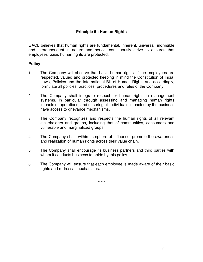# **Principle 5 : Human Rights**

GACL believes that human rights are fundamental, inherent, universal, indivisible and interdependent in nature and hence, continuously strive to ensures that employees' basic human rights are protected.

# **Policy**

- 1. The Company will observe that basic human rights of the employees are respected, valued and protected keeping in mind the Constitution of India, Laws, Policies and the International Bill of Human Rights and accordingly, formulate all policies, practices, procedures and rules of the Company.
- 2. The Company shall integrate respect for human rights in management systems, in particular through assessing and managing human rights impacts of operations, and ensuring all individuals impacted by the business have access to grievance mechanisms.
- 3. The Company recognizes and respects the human rights of all relevant stakeholders and groups, including that of communities, consumers and vulnerable and marginalized groups.
- 4. The Company shall, within its sphere of influence, promote the awareness and realization of human rights across their value chain.
- 5. The Company shall encourage its business partners and third parties with whom it conducts business to abide by this policy.
- 6. The Company will ensure that each employee is made aware of their basic rights and redressal mechanisms.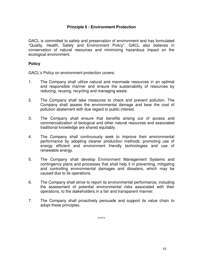# **Principle 6 : Environment Protection**

GACL is committed to safety and preservation of environment and has formulated "Quality, Health, Safety and Environment Policy". GACL also believes in conservation of natural resources and minimizing hazardous impact on the ecological environment.

### **Policy**

GACL's Policy on environment protection covers:

- 1. The Company shall utilize natural and manmade resources in an optimal and responsible manner and ensure the sustainability of resources by reducing, reusing, recycling and managing waste.
- 2. The Company shall take measures to check and prevent pollution. The Company shall assess the environmental damage and bear the cost of pollution abatement with due regard to public interest.
- 3. The Company shall ensure that benefits arising out of access and commercialization of biological and other natural resources and associated traditional knowledge are shared equitably.
- 4. The Company shall continuously seek to improve their environmental performance by adopting cleaner production methods, promoting use of energy efficient and environment friendly technologies and use of renewable energy.
- 5. The Company shall develop Environment Management Systems and contingency plans and processes that shall help it in preventing, mitigating and controlling environmental damages and disasters, which may be caused due to its operations.
- 6. The Company shall strive to report its environmental performance, including the assessment of potential environmental risks associated with their operations, to the stakeholders in a fair and transparent manner.
- 7. The Company shall proactively persuade and support its value chain to adopt these principles.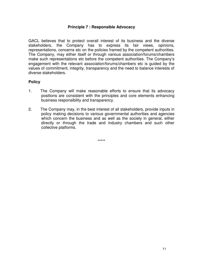## **Principle 7 : Responsible Advocacy**

GACL believes that to protect overall interest of its business and the diverse stakeholders, the Company has to express its fair views, opinions, representations, concerns etc on the policies framed by the competent authorities. The Company, may either itself or through various association/forums/chambers make such representations etc before the competent authorities. The Company's engagement with the relevant association/forums/chambers etc is guided by the values of commitment, integrity, transparency and the need to balance interests of diverse stakeholders.

## **Policy**

- 1. The Company will make reasonable efforts to ensure that its advocacy positions are consistent with the principles and core elements enhancing business responsibility and transparency.
- 2. The Company may, in the best interest of all stakeholders, provide inputs in policy making decisions to various governmental authorities and agencies which concern the business and as well as the society in general, either directly or through the trade and industry chambers and such other collective platforms.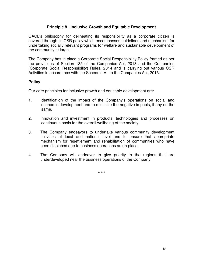## **Principle 8 : Inclusive Growth and Equitable Development**

GACL's philosophy for delineating its responsibility as a corporate citizen is covered through its CSR policy which encompasses guidelines and mechanism for undertaking socially relevant programs for welfare and sustainable development of the community at large.

The Company has in place a Corporate Social Responsibility Policy framed as per the provisions of Section 135 of the Companies Act, 2013 and the Companies (Corporate Social Responsibility) Rules, 2014 and is carrying out various CSR Activities in accordance with the Schedule VII to the Companies Act, 2013.

## **Policy**

Our core principles for inclusive growth and equitable development are:

- 1. Identification of the impact of the Company's operations on social and economic development and to minimize the negative impacts, if any on the same.
- 2. Innovation and investment in products, technologies and processes on continuous basis for the overall wellbeing of the society.
- 3. The Company endeavors to undertake various community development activities at local and national level and to ensure that appropriate mechanism for resettlement and rehabilitation of communities who have been displaced due to business operations are in place.
- 4. The Company will endeavor to give priority to the regions that are underdeveloped near the business operations of the Company.